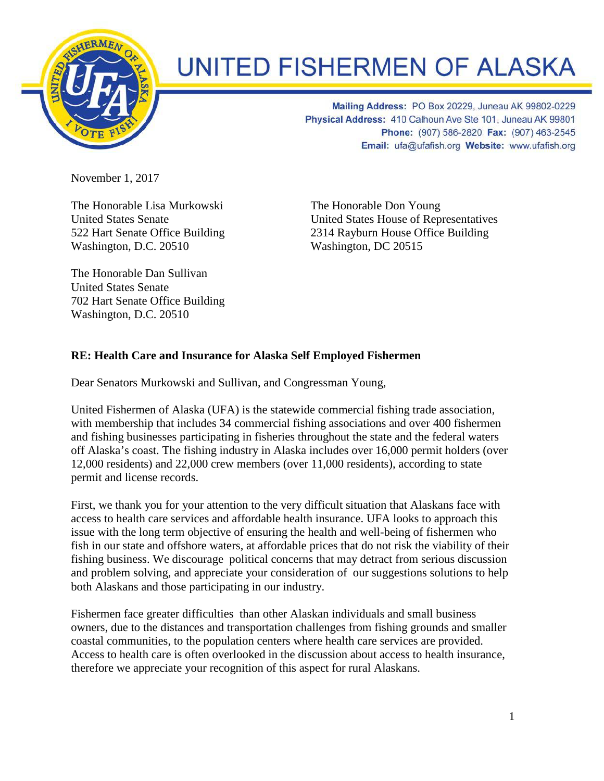

## **UNITED FISHERMEN OF ALASKA**

Mailing Address: PO Box 20229, Juneau AK 99802-0229 Physical Address: 410 Calhoun Ave Ste 101, Juneau AK 99801 Phone: (907) 586-2820 Fax: (907) 463-2545 Email: ufa@ufafish.org Website: www.ufafish.org

November 1, 2017

The Honorable Lisa Murkowski United States Senate 522 Hart Senate Office Building Washington, D.C. 20510

The Honorable Dan Sullivan United States Senate 702 Hart Senate Office Building Washington, D.C. 20510

The Honorable Don Young United States House of Representatives 2314 Rayburn House Office Building Washington, DC 20515

## **RE: Health Care and Insurance for Alaska Self Employed Fishermen**

Dear Senators Murkowski and Sullivan, and Congressman Young,

United Fishermen of Alaska (UFA) is the statewide commercial fishing trade association, with membership that includes 34 commercial fishing associations and over 400 fishermen and fishing businesses participating in fisheries throughout the state and the federal waters off Alaska's coast. The fishing industry in Alaska includes over 16,000 permit holders (over 12,000 residents) and 22,000 crew members (over 11,000 residents), according to state permit and license records.

First, we thank you for your attention to the very difficult situation that Alaskans face with access to health care services and affordable health insurance. UFA looks to approach this issue with the long term objective of ensuring the health and well-being of fishermen who fish in our state and offshore waters, at affordable prices that do not risk the viability of their fishing business. We discourage political concerns that may detract from serious discussion and problem solving, and appreciate your consideration of our suggestions solutions to help both Alaskans and those participating in our industry.

Fishermen face greater difficulties than other Alaskan individuals and small business owners, due to the distances and transportation challenges from fishing grounds and smaller coastal communities, to the population centers where health care services are provided. Access to health care is often overlooked in the discussion about access to health insurance, therefore we appreciate your recognition of this aspect for rural Alaskans.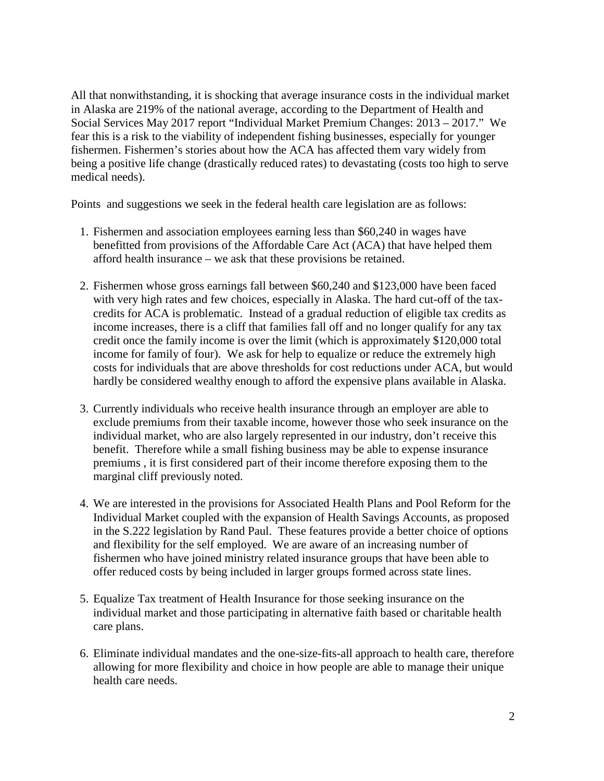All that nonwithstanding, it is shocking that average insurance costs in the individual market in Alaska are 219% of the national average, according to the Department of Health and Social Services May 2017 report "Individual Market Premium Changes: 2013 – 2017." We fear this is a risk to the viability of independent fishing businesses, especially for younger fishermen. Fishermen's stories about how the ACA has affected them vary widely from being a positive life change (drastically reduced rates) to devastating (costs too high to serve medical needs).

Points and suggestions we seek in the federal health care legislation are as follows:

- 1. Fishermen and association employees earning less than \$60,240 in wages have benefitted from provisions of the Affordable Care Act (ACA) that have helped them afford health insurance – we ask that these provisions be retained.
- 2. Fishermen whose gross earnings fall between \$60,240 and \$123,000 have been faced with very high rates and few choices, especially in Alaska. The hard cut-off of the taxcredits for ACA is problematic. Instead of a gradual reduction of eligible tax credits as income increases, there is a cliff that families fall off and no longer qualify for any tax credit once the family income is over the limit (which is approximately \$120,000 total income for family of four). We ask for help to equalize or reduce the extremely high costs for individuals that are above thresholds for cost reductions under ACA, but would hardly be considered wealthy enough to afford the expensive plans available in Alaska.
- 3. Currently individuals who receive health insurance through an employer are able to exclude premiums from their taxable income, however those who seek insurance on the individual market, who are also largely represented in our industry, don't receive this benefit. Therefore while a small fishing business may be able to expense insurance premiums , it is first considered part of their income therefore exposing them to the marginal cliff previously noted.
- 4. We are interested in the provisions for Associated Health Plans and Pool Reform for the Individual Market coupled with the expansion of Health Savings Accounts, as proposed in the S.222 legislation by Rand Paul. These features provide a better choice of options and flexibility for the self employed. We are aware of an increasing number of fishermen who have joined ministry related insurance groups that have been able to offer reduced costs by being included in larger groups formed across state lines.
- 5. Equalize Tax treatment of Health Insurance for those seeking insurance on the individual market and those participating in alternative faith based or charitable health care plans.
- 6. Eliminate individual mandates and the one-size-fits-all approach to health care, therefore allowing for more flexibility and choice in how people are able to manage their unique health care needs.